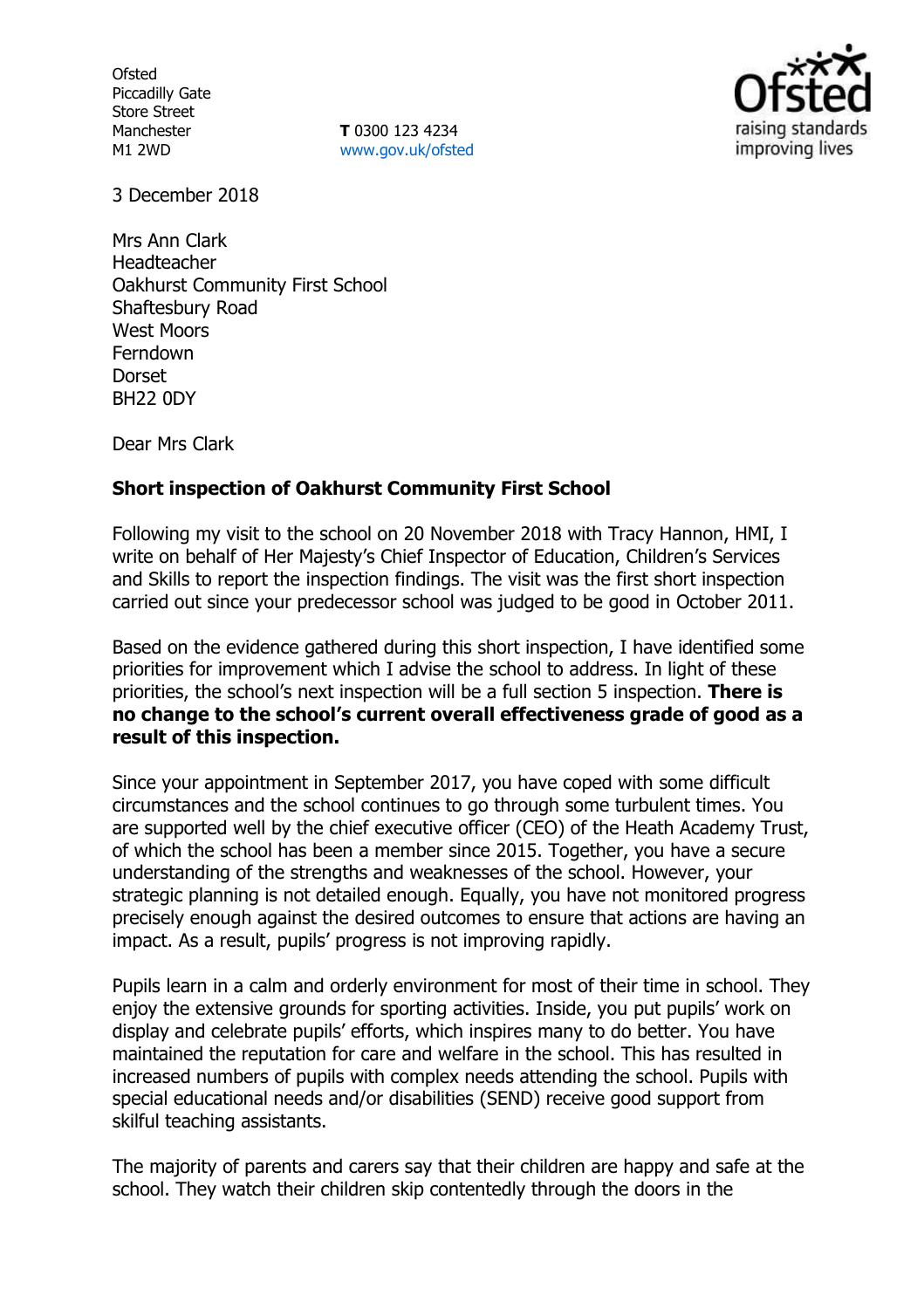**Ofsted** Piccadilly Gate Store Street Manchester M1 2WD

**T** 0300 123 4234 www.gov.uk/ofsted



3 December 2018

Mrs Ann Clark Headteacher Oakhurst Community First School Shaftesbury Road West Moors Ferndown **Dorset** BH22 0DY

Dear Mrs Clark

## **Short inspection of Oakhurst Community First School**

Following my visit to the school on 20 November 2018 with Tracy Hannon, HMI, I write on behalf of Her Majesty's Chief Inspector of Education, Children's Services and Skills to report the inspection findings. The visit was the first short inspection carried out since your predecessor school was judged to be good in October 2011.

Based on the evidence gathered during this short inspection, I have identified some priorities for improvement which I advise the school to address. In light of these priorities, the school's next inspection will be a full section 5 inspection. **There is no change to the school's current overall effectiveness grade of good as a result of this inspection.**

Since your appointment in September 2017, you have coped with some difficult circumstances and the school continues to go through some turbulent times. You are supported well by the chief executive officer (CEO) of the Heath Academy Trust, of which the school has been a member since 2015. Together, you have a secure understanding of the strengths and weaknesses of the school. However, your strategic planning is not detailed enough. Equally, you have not monitored progress precisely enough against the desired outcomes to ensure that actions are having an impact. As a result, pupils' progress is not improving rapidly.

Pupils learn in a calm and orderly environment for most of their time in school. They enjoy the extensive grounds for sporting activities. Inside, you put pupils' work on display and celebrate pupils' efforts, which inspires many to do better. You have maintained the reputation for care and welfare in the school. This has resulted in increased numbers of pupils with complex needs attending the school. Pupils with special educational needs and/or disabilities (SEND) receive good support from skilful teaching assistants.

The majority of parents and carers say that their children are happy and safe at the school. They watch their children skip contentedly through the doors in the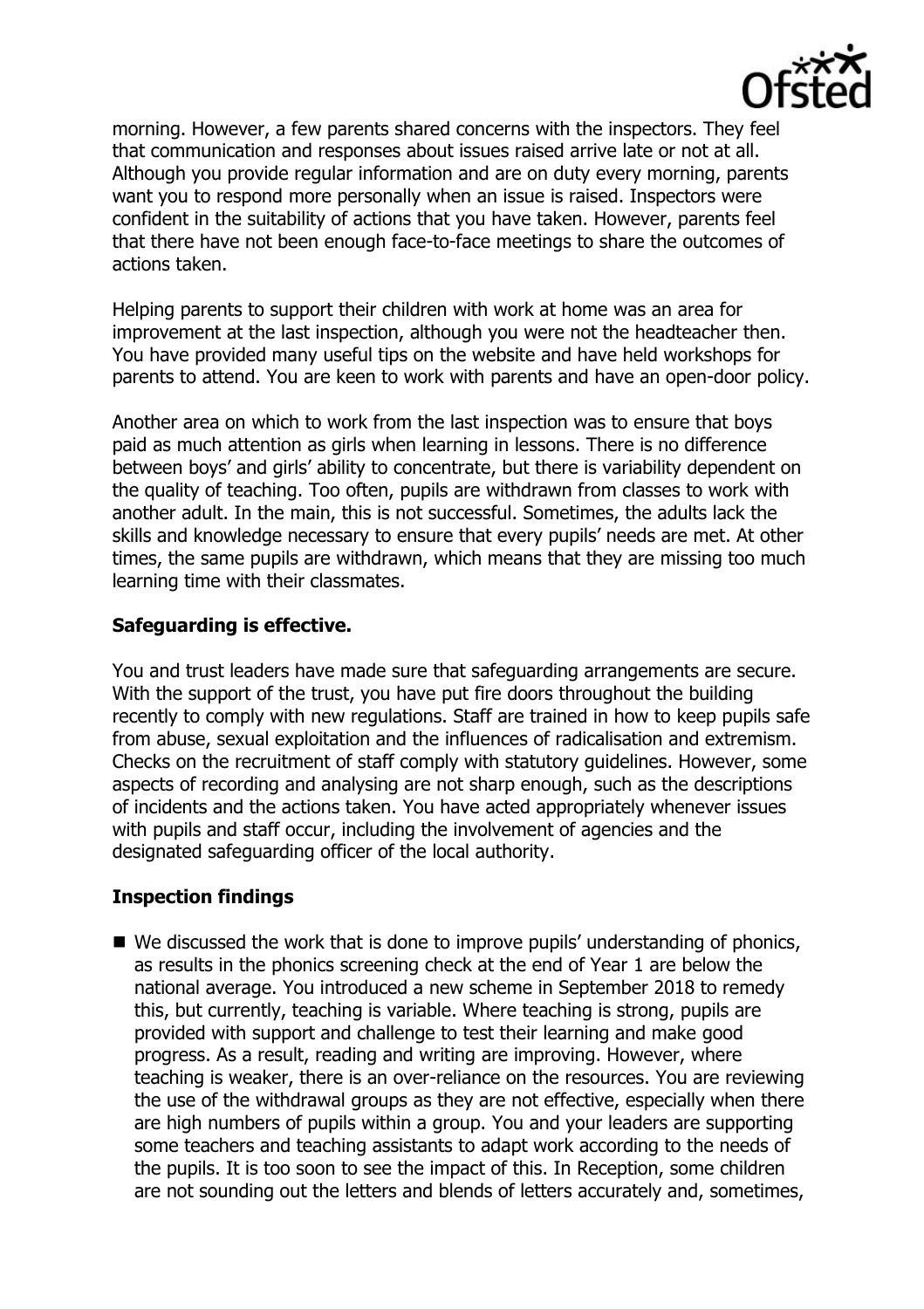

morning. However, a few parents shared concerns with the inspectors. They feel that communication and responses about issues raised arrive late or not at all. Although you provide regular information and are on duty every morning, parents want you to respond more personally when an issue is raised. Inspectors were confident in the suitability of actions that you have taken. However, parents feel that there have not been enough face-to-face meetings to share the outcomes of actions taken.

Helping parents to support their children with work at home was an area for improvement at the last inspection, although you were not the headteacher then. You have provided many useful tips on the website and have held workshops for parents to attend. You are keen to work with parents and have an open-door policy.

Another area on which to work from the last inspection was to ensure that boys paid as much attention as girls when learning in lessons. There is no difference between boys' and girls' ability to concentrate, but there is variability dependent on the quality of teaching. Too often, pupils are withdrawn from classes to work with another adult. In the main, this is not successful. Sometimes, the adults lack the skills and knowledge necessary to ensure that every pupils' needs are met. At other times, the same pupils are withdrawn, which means that they are missing too much learning time with their classmates.

## **Safeguarding is effective.**

You and trust leaders have made sure that safeguarding arrangements are secure. With the support of the trust, you have put fire doors throughout the building recently to comply with new regulations. Staff are trained in how to keep pupils safe from abuse, sexual exploitation and the influences of radicalisation and extremism. Checks on the recruitment of staff comply with statutory guidelines. However, some aspects of recording and analysing are not sharp enough, such as the descriptions of incidents and the actions taken. You have acted appropriately whenever issues with pupils and staff occur, including the involvement of agencies and the designated safeguarding officer of the local authority.

# **Inspection findings**

■ We discussed the work that is done to improve pupils' understanding of phonics, as results in the phonics screening check at the end of Year 1 are below the national average. You introduced a new scheme in September 2018 to remedy this, but currently, teaching is variable. Where teaching is strong, pupils are provided with support and challenge to test their learning and make good progress. As a result, reading and writing are improving. However, where teaching is weaker, there is an over-reliance on the resources. You are reviewing the use of the withdrawal groups as they are not effective, especially when there are high numbers of pupils within a group. You and your leaders are supporting some teachers and teaching assistants to adapt work according to the needs of the pupils. It is too soon to see the impact of this. In Reception, some children are not sounding out the letters and blends of letters accurately and, sometimes,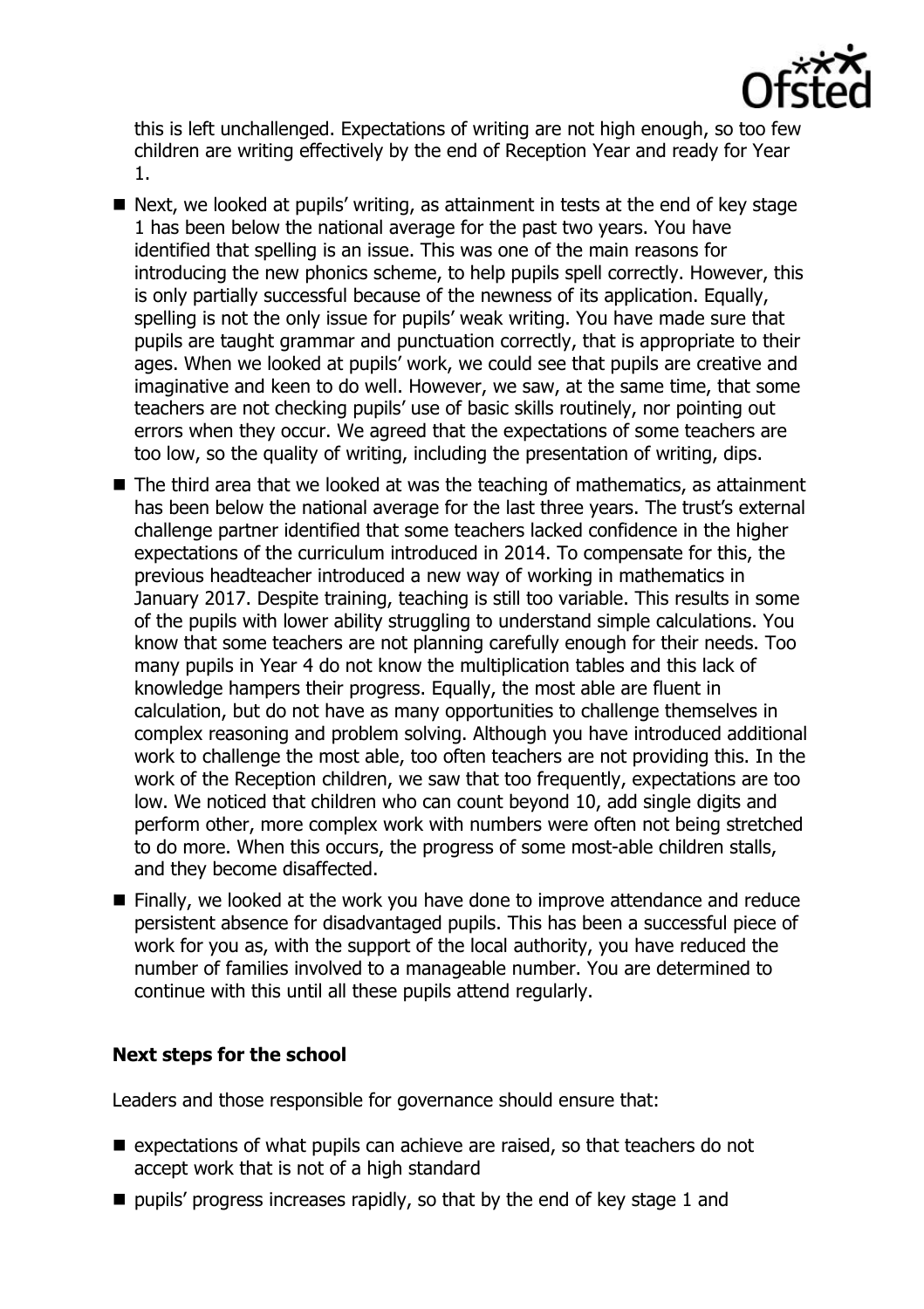

this is left unchallenged. Expectations of writing are not high enough, so too few children are writing effectively by the end of Reception Year and ready for Year 1.

- Next, we looked at pupils' writing, as attainment in tests at the end of key stage 1 has been below the national average for the past two years. You have identified that spelling is an issue. This was one of the main reasons for introducing the new phonics scheme, to help pupils spell correctly. However, this is only partially successful because of the newness of its application. Equally, spelling is not the only issue for pupils' weak writing. You have made sure that pupils are taught grammar and punctuation correctly, that is appropriate to their ages. When we looked at pupils' work, we could see that pupils are creative and imaginative and keen to do well. However, we saw, at the same time, that some teachers are not checking pupils' use of basic skills routinely, nor pointing out errors when they occur. We agreed that the expectations of some teachers are too low, so the quality of writing, including the presentation of writing, dips.
- The third area that we looked at was the teaching of mathematics, as attainment has been below the national average for the last three years. The trust's external challenge partner identified that some teachers lacked confidence in the higher expectations of the curriculum introduced in 2014. To compensate for this, the previous headteacher introduced a new way of working in mathematics in January 2017. Despite training, teaching is still too variable. This results in some of the pupils with lower ability struggling to understand simple calculations. You know that some teachers are not planning carefully enough for their needs. Too many pupils in Year 4 do not know the multiplication tables and this lack of knowledge hampers their progress. Equally, the most able are fluent in calculation, but do not have as many opportunities to challenge themselves in complex reasoning and problem solving. Although you have introduced additional work to challenge the most able, too often teachers are not providing this. In the work of the Reception children, we saw that too frequently, expectations are too low. We noticed that children who can count beyond 10, add single digits and perform other, more complex work with numbers were often not being stretched to do more. When this occurs, the progress of some most-able children stalls, and they become disaffected.
- Finally, we looked at the work you have done to improve attendance and reduce persistent absence for disadvantaged pupils. This has been a successful piece of work for you as, with the support of the local authority, you have reduced the number of families involved to a manageable number. You are determined to continue with this until all these pupils attend regularly.

#### **Next steps for the school**

Leaders and those responsible for governance should ensure that:

- $\blacksquare$  expectations of what pupils can achieve are raised, so that teachers do not accept work that is not of a high standard
- $\blacksquare$  pupils' progress increases rapidly, so that by the end of key stage 1 and